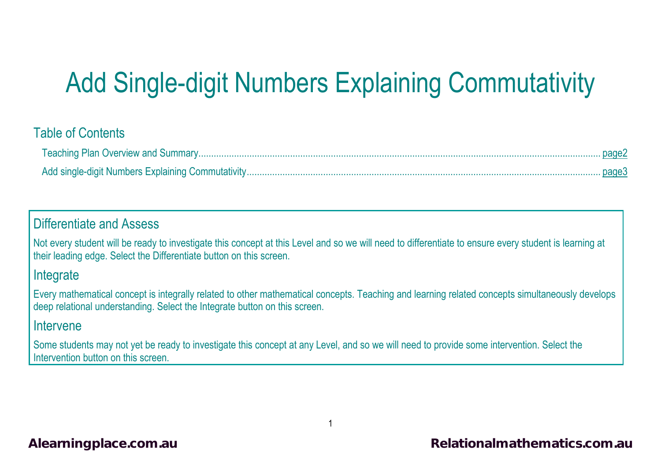# Add Single-digit Numbers Explaining Commutativity

#### Table of Contents

#### Differentiate and Assess

Not every student will be ready to investigate this concept at this Level and so we will need to differentiate to ensure every student is learning at their leading edge. Select the Differentiate button on this screen.

#### **Integrate**

Every mathematical concept is integrally related to other mathematical concepts. Teaching and learning related concepts simultaneously develops deep relational understanding. Select the Integrate button on this screen.

#### Intervene

Some students may not yet be ready to investigate this concept at any Level, and so we will need to provide some intervention. Select the Intervention button on this screen.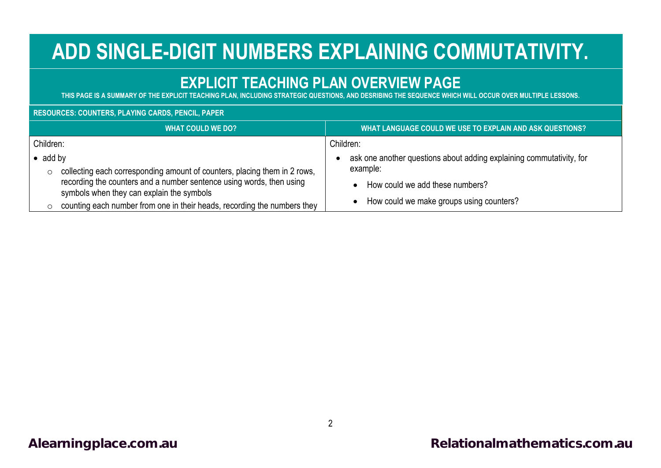## **ADD SINGLE-DIGIT NUMBERS EXPLAINING COMMUTATIVITY.**

### **EXPLICIT TEACHING PLAN OVERVIEW PAGE**

<span id="page-1-0"></span>**THIS PAGE IS A SUMMARY OF THE EXPLICIT TEACHING PLAN, INCLUDING STRATEGIC QUESTIONS, AND DESRIBING THE SEQUENCE WHICH WILL OCCUR OVER MULTIPLE LESSONS.**

#### **RESOURCES: COUNTERS, PLAYING CARDS, PENCIL, PAPER**

|                             | <b>WHAT COULD WE DO?</b>                                                                                          | WHAT LANGUAGE COULD WE USE TO EXPLAIN AND ASK QUESTIONS?                         |
|-----------------------------|-------------------------------------------------------------------------------------------------------------------|----------------------------------------------------------------------------------|
| Children:                   |                                                                                                                   | Children:                                                                        |
| $\bullet$ add by<br>$\circ$ | collecting each corresponding amount of counters, placing them in 2 rows,                                         | ask one another questions about adding explaining commutativity, for<br>example: |
|                             | recording the counters and a number sentence using words, then using<br>symbols when they can explain the symbols | How could we add these numbers?                                                  |
|                             | counting each number from one in their heads, recording the numbers they                                          | How could we make groups using counters?                                         |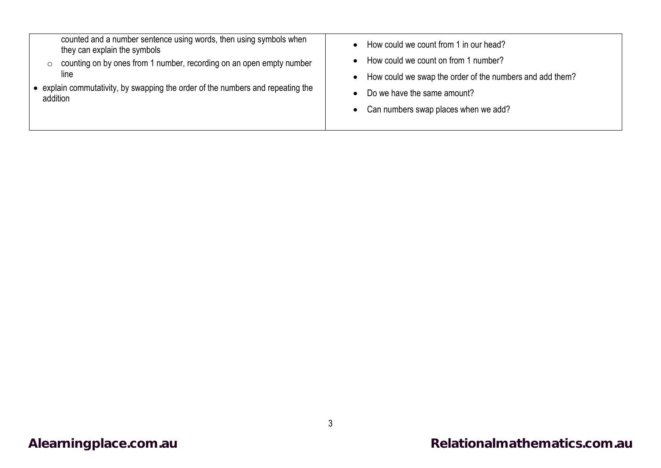| counted and a number sentence using words, then using symbols when<br>they can explain the symbols<br>counting on by ones from 1 number, recording on an open empty number<br>$\circ$<br>line<br>• explain commutativity, by swapping the order of the numbers and repeating the<br>addition | How could we count from 1 in our head?<br>$\bullet$<br>How could we count on from 1 number?<br>$\bullet$<br>• How could we swap the order of the numbers and add them?<br>Do we have the same amount?<br>$\bullet$<br>• Can numbers swap places when we add? |
|----------------------------------------------------------------------------------------------------------------------------------------------------------------------------------------------------------------------------------------------------------------------------------------------|--------------------------------------------------------------------------------------------------------------------------------------------------------------------------------------------------------------------------------------------------------------|
|----------------------------------------------------------------------------------------------------------------------------------------------------------------------------------------------------------------------------------------------------------------------------------------------|--------------------------------------------------------------------------------------------------------------------------------------------------------------------------------------------------------------------------------------------------------------|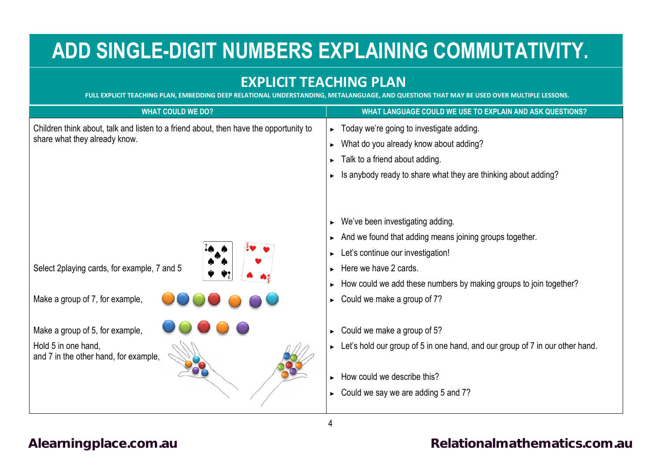## <span id="page-3-0"></span>**ADD SINGLE-DIGIT NUMBERS EXPLAINING COMMUTATIVITY.**

#### **EXPLICIT TEACHING PLAN**

**FULL EXPLICIT TEACHING PLAN, EMBEDDING DEEP RELATIONAL UNDERSTANDING, METALANGUAGE, AND QUESTIONS THAT MAY BE USED OVER MULTIPLE LESSONS.**

| <b>WHAT COULD WE DO?</b>                                                                                               | WHAT LANGUAGE COULD WE USE TO EXPLAIN AND ASK QUESTIONS?                                                                                                                                                                                                      |
|------------------------------------------------------------------------------------------------------------------------|---------------------------------------------------------------------------------------------------------------------------------------------------------------------------------------------------------------------------------------------------------------|
| Children think about, talk and listen to a friend about, then have the opportunity to<br>share what they already know. | $\triangleright$ Today we're going to investigate adding.<br>What do you already know about adding?<br>▶<br>Talk to a friend about adding.<br>Is anybody ready to share what they are thinking about adding?                                                  |
| Select 2playing cards, for example, 7 and 5<br>Make a group of 7, for example,                                         | We've been investigating adding.<br>And we found that adding means joining groups together.<br>Let's continue our investigation!<br>Here we have 2 cards.<br>How could we add these numbers by making groups to join together?<br>Could we make a group of 7? |
| Make a group of 5, for example,<br>Hold 5 in one hand,<br>and 7 in the other hand, for example,                        | Could we make a group of 5?<br>▶<br>$\triangleright$ Let's hold our group of 5 in one hand, and our group of 7 in our other hand.<br>How could we describe this?<br>Could we say we are adding 5 and 7?                                                       |

4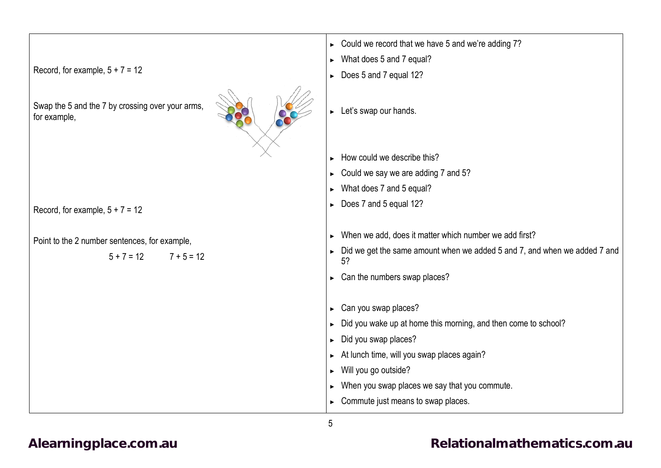|                                                                  | $\triangleright$ Could we record that we have 5 and we're adding 7?             |
|------------------------------------------------------------------|---------------------------------------------------------------------------------|
|                                                                  | What does 5 and 7 equal?<br>$\blacktriangleright$                               |
| Record, for example, $5 + 7 = 12$                                | Does 5 and 7 equal 12?<br>$\blacktriangleright$                                 |
| Swap the 5 and the 7 by crossing over your arms,<br>for example, | Let's swap our hands.<br>$\blacktriangleright$                                  |
|                                                                  | How could we describe this?                                                     |
|                                                                  | Could we say we are adding 7 and 5?                                             |
|                                                                  | What does 7 and 5 equal?                                                        |
|                                                                  | Does 7 and 5 equal 12?<br>$\blacktriangleright$                                 |
| Record, for example, $5 + 7 = 12$                                |                                                                                 |
| Point to the 2 number sentences, for example,                    | When we add, does it matter which number we add first?                          |
| $5 + 7 = 12$<br>$7 + 5 = 12$                                     | Did we get the same amount when we added 5 and 7, and when we added 7 and<br>5? |
|                                                                  | $\triangleright$ Can the numbers swap places?                                   |
|                                                                  | Can you swap places?<br>$\blacktriangleright$                                   |
|                                                                  | Did you wake up at home this morning, and then come to school?                  |
|                                                                  | Did you swap places?<br>$\blacktriangleright$                                   |
|                                                                  | At lunch time, will you swap places again?<br>$\blacktriangleright$             |
|                                                                  | Will you go outside?<br>$\blacktriangleright$                                   |
|                                                                  | When you swap places we say that you commute.<br>$\blacktriangleright$          |
|                                                                  | Commute just means to swap places.<br>$\blacktriangleright$                     |

5